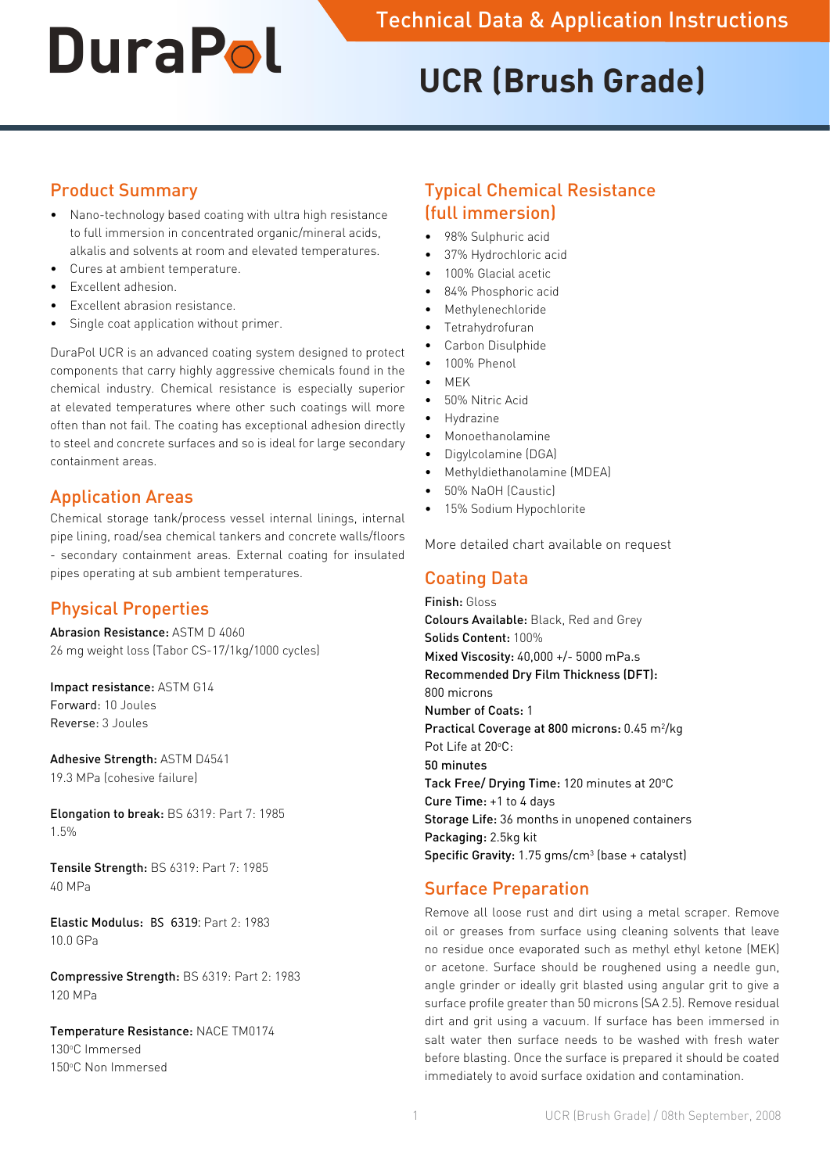# **UCR (Brush Grade)**

## Product Summary

- • Nano-technology based coating with ultra high resistance to full immersion in concentrated organic/mineral acids, alkalis and solvents at room and elevated temperatures.
- Cures at ambient temperature.
- Excellent adhesion
- Excellent abrasion resistance.
- Single coat application without primer.

DuraPol UCR is an advanced coating system designed to protect components that carry highly aggressive chemicals found in the chemical industry. Chemical resistance is especially superior at elevated temperatures where other such coatings will more often than not fail. The coating has exceptional adhesion directly to steel and concrete surfaces and so is ideal for large secondary containment areas.

# Application Areas

Chemical storage tank/process vessel internal linings, internal pipe lining, road/sea chemical tankers and concrete walls/floors - secondary containment areas. External coating for insulated pipes operating at sub ambient temperatures.

# Physical Properties

Abrasion Resistance: ASTM D 4060 26 mg weight loss (Tabor CS-17/1kg/1000 cycles)

Impact resistance: ASTM G14 Forward: 10 Joules Reverse: 3 Joules

Adhesive Strength: ASTM D4541 19.3 MPa (cohesive failure)

Elongation to break: BS 6319: Part 7: 1985 1.5%

Tensile Strength: BS 6319: Part 7: 1985 40 MPa

Elastic Modulus: BS 6319: Part 2: 1983 10.0 GPa

Compressive Strength: BS 6319: Part 2: 1983 120 MPa

Temperature Resistance: NACE TM0174 130°C Immersed 150°C Non Immersed

# Typical Chemical Resistance (full immersion)

- 98% Sulphuric acid
- 37% Hydrochloric acid
- 100% Glacial acetic
- 84% Phosphoric acid
- **Methylenechloride**
- **Tetrahydrofuran**
- Carbon Disulphide
- 100% Phenol
- $MFK$
- 50% Nitric Acid
- **Hydrazine**
- **Monoethanolamine**
- Digylcolamine (DGA)
- Methyldiethanolamine (MDEA)
- • 50% NaOH (Caustic)
- 15% Sodium Hypochlorite

More detailed chart available on request

## Coating Data

Finish: Gloss Colours Available: Black, Red and Grey Solids Content: 100% Mixed Viscosity: 40,000 +/- 5000 mPa.s Recommended Dry Film Thickness (DFT): 800 microns Number of Coats: 1 Practical Coverage at 800 microns: 0.45 m<sup>2</sup>/kg Pot Life at 20°C: 50 minutes Tack Free/ Drying Time: 120 minutes at 20°C Cure Time: +1 to 4 days Storage Life: 36 months in unopened containers Packaging: 2.5kg kit **Specific Gravity:** 1.75  $gms/cm<sup>3</sup>$  (base + catalyst)

# Surface Preparation

Remove all loose rust and dirt using a metal scraper. Remove oil or greases from surface using cleaning solvents that leave no residue once evaporated such as methyl ethyl ketone (MEK) or acetone. Surface should be roughened using a needle gun, angle grinder or ideally grit blasted using angular grit to give a surface profile greater than 50 microns (SA 2.5). Remove residual dirt and grit using a vacuum. If surface has been immersed in salt water then surface needs to be washed with fresh water before blasting. Once the surface is prepared it should be coated immediately to avoid surface oxidation and contamination.